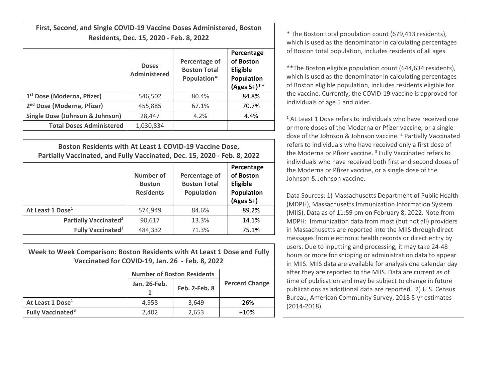**First, Second, and Single COVID‐19 Vaccine Doses Administered, Boston**

|                                        | <b>Doses</b><br><b>Administered</b> | Percentage of<br><b>Boston Total</b><br>Population* | Percentage<br>of Boston<br>Eligible<br>Population<br>$(Ages 5+)$ ** |
|----------------------------------------|-------------------------------------|-----------------------------------------------------|---------------------------------------------------------------------|
| 1 <sup>st</sup> Dose (Moderna, Pfizer) | 546,502                             | 80.4%                                               | 84.8%                                                               |
| 2 <sup>nd</sup> Dose (Moderna, Pfizer) | 455,885                             | 67.1%                                               | 70.7%                                                               |
| Single Dose (Johnson & Johnson)        | 28,447                              | 4.2%                                                | 4.4%                                                                |
| <b>Total Doses Administered</b>        | 1,030,834                           |                                                     |                                                                     |

| Boston Residents with At Least 1 COVID-19 Vaccine Dose,<br>Partially Vaccinated, and Fully Vaccinated, Dec. 15, 2020 - Feb. 8, 2022 |                                                |                                                           |                                                                  |  |  |
|-------------------------------------------------------------------------------------------------------------------------------------|------------------------------------------------|-----------------------------------------------------------|------------------------------------------------------------------|--|--|
|                                                                                                                                     | Number of<br><b>Boston</b><br><b>Residents</b> | Percentage of<br><b>Boston Total</b><br><b>Population</b> | Percentage<br>of Boston<br>Eligible<br>Population<br>$(Ages 5+)$ |  |  |
| At Least 1 Dose <sup>1</sup>                                                                                                        | 574,949                                        | 84.6%                                                     | 89.2%                                                            |  |  |
| Partially Vaccinated <sup>2</sup>                                                                                                   | 90,617                                         | 13.3%                                                     | 14.1%                                                            |  |  |
| <b>Fully Vaccinated<sup>3</sup></b>                                                                                                 | 484,332                                        | 71.3%                                                     | 75.1%                                                            |  |  |

| Week to Week Comparison: Boston Residents with At Least 1 Dose and Fully |
|--------------------------------------------------------------------------|
| Vaccinated for COVID-19, Jan. 26 - Feb. 8, 2022                          |

|                                     | <b>Number of Boston Residents</b> |               |                       |
|-------------------------------------|-----------------------------------|---------------|-----------------------|
|                                     | Jan. 26-Feb.                      | Feb. 2-Feb. 8 | <b>Percent Change</b> |
| At Least 1 Dose <sup>1</sup>        | 4.958                             | 3.649         | $-26%$                |
| <b>Fully Vaccinated<sup>3</sup></b> | 2,402                             | 2,653         | $+10%$                |

**Residents, Dec. 15, 2020 - Feb. 8, 2022 Cancel 19 and 19 and 19 and 19 and 19 and 19 and 19 and 19 and 19 and 19 and 19 and 19 and 19 and 19 and 19 and 19 and 19 and 19 and 19 and 19 and 19 and 19 and 19 and 19 and 19 a** of Boston total population, includes residents of all ages.

> \*\*The Boston eligible population count (644,634 residents), which is used as the denominator in calculating percentages of Boston eligible population, includes residents eligible for the vaccine. Currently, the COVID‐19 vaccine is approved for individuals of age 5 and older.

 $1$  At Least 1 Dose refers to individuals who have received one or more doses of the Moderna or Pfizer vaccine, or <sup>a</sup> single dose of the Johnson & Johnson vaccine. <sup>2</sup> Partially Vaccinated refers to individuals who have received only <sup>a</sup> first dose of the Moderna or Pfizer vaccine. <sup>3</sup> Fully Vaccinated refers to individuals who have received both first and second doses of the Moderna or Pfizer vaccine, or <sup>a</sup> single dose of the Johnson& Johnson vaccine.

Data Sources: 1) Massachusetts Department of Public Health (MDPH), Massachusetts Immunization Information System (MIIS). Data as of 11:59 pm on February 8, 2022. Note from MDPH: Immunization data from most (but not all) providers in Massachusetts are reported into the MIIS through direct messages from electronic health records or direct entry by users. Due to inputting and processing, it may take 24‐48 hours or more for shipping or administration data to appear in MIIS. MIIS data are available for analysis one calendar day after they are reported to the MIIS. Data are current as of time of publication and may be subject to change in future publications as additional data are reported. 2) U.S. Census Bureau, American Community Survey, 2018 5‐yr estimates (2014‐2018).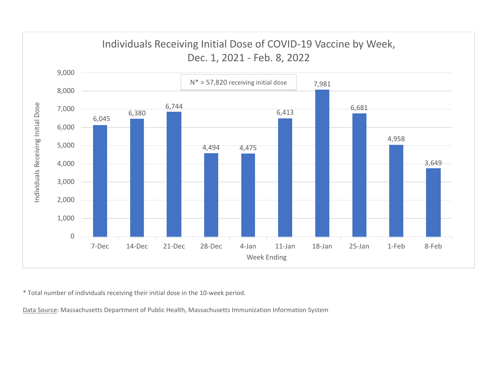

\* Total number of individuals receiving their initial dose in the 10‐week period.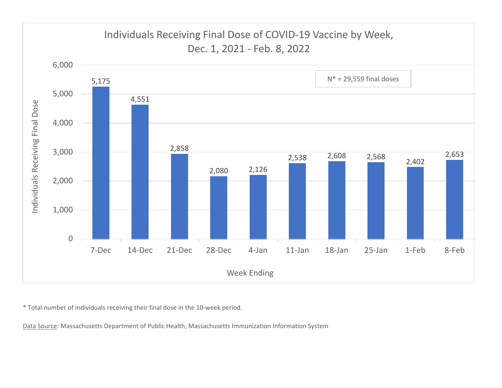

\* Total number of individuals receiving their final dose in the 10‐week period.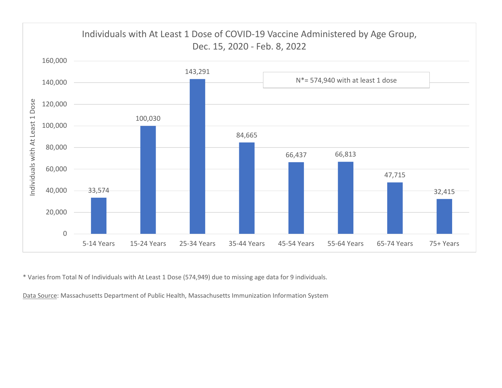

\* Varies from Total N of Individuals with At Least 1 Dose (574,949) due to missing age data for 9 individuals.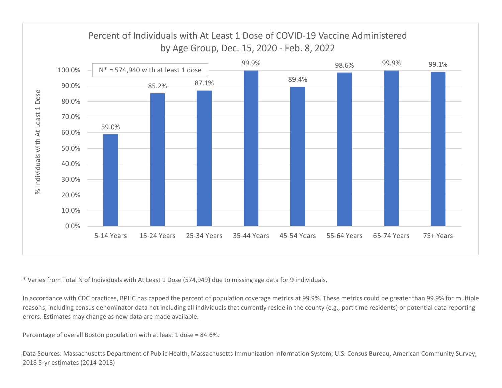

\* Varies from Total N of Individuals with At Least 1 Dose (574,949) due to missing age data for 9 individuals.

In accordance with CDC practices, BPHC has capped the percent of population coverage metrics at 99.9%. These metrics could be greater than 99.9% for multiple reasons, including census denominator data not including all individuals that currently reside in the county (e.g., part time residents) or potential data reporting errors. Estimates may change as new data are made available.

Percentage of overall Boston population with at least 1 dose <sup>=</sup> 84.6%.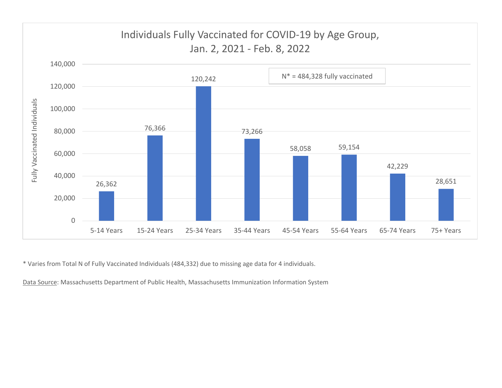

\* Varies from Total N of Fully Vaccinated Individuals (484,332) due to missing age data for 4 individuals.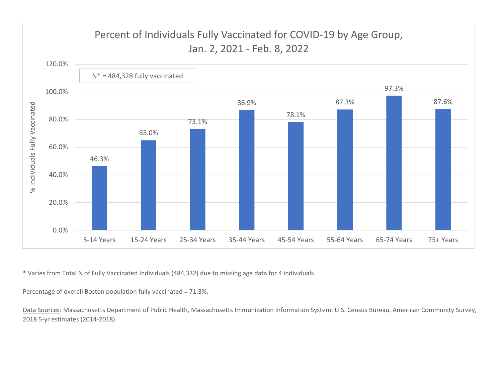

\* Varies from Total N of Fully Vaccinated Individuals (484,332) due to missing age data for 4 individuals.

Percentage of overall Boston population fully vaccinated <sup>=</sup> 71.3%.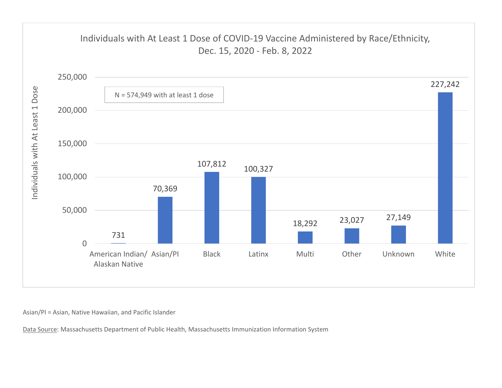

Asian/PI <sup>=</sup> Asian, Native Hawaiian, and Pacific Islander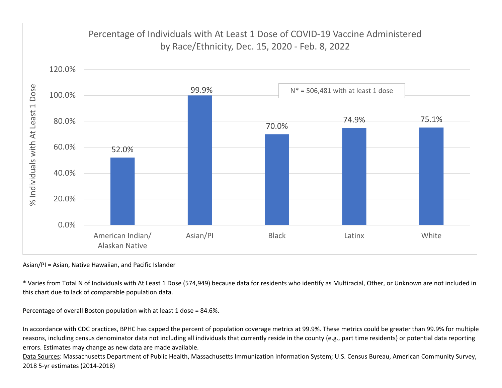

Asian/PI <sup>=</sup> Asian, Native Hawaiian, and Pacific Islander

\* Varies from Total N of Individuals with At Least 1 Dose (574,949) because data for residents who identify as Multiracial, Other, or Unknown are not included in this chart due to lack of comparable population data.

Percentage of overall Boston population with at least 1 dose <sup>=</sup> 84.6%.

In accordance with CDC practices, BPHC has capped the percent of population coverage metrics at 99.9%. These metrics could be greater than 99.9% for multiple reasons, including census denominator data not including all individuals that currently reside in the county (e.g., part time residents) or potential data reporting errors. Estimates may change as new data are made available.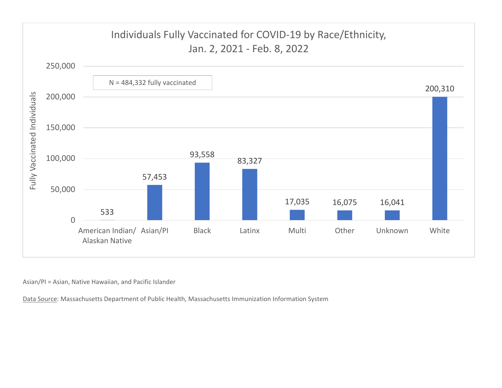

Asian/PI <sup>=</sup> Asian, Native Hawaiian, and Pacific Islander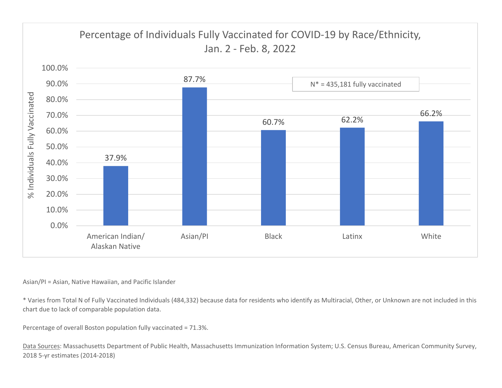

## Asian/PI <sup>=</sup> Asian, Native Hawaiian, and Pacific Islander

\* Varies from Total N of Fully Vaccinated Individuals (484,332) because data for residents who identify as Multiracial, Other, or Unknown are not included in this chart due to lack of comparable population data.

Percentage of overall Boston population fully vaccinated <sup>=</sup> 71.3%.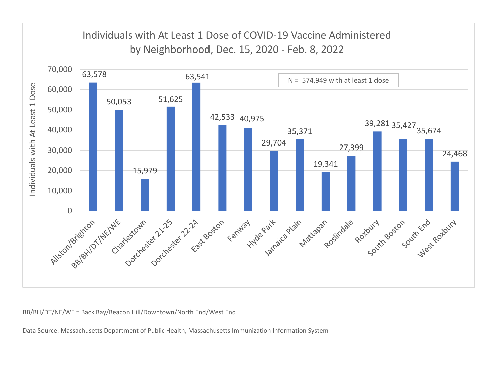

BB/BH/DT/NE/WE <sup>=</sup> Back Bay/Beacon Hill/Downtown/North End/West End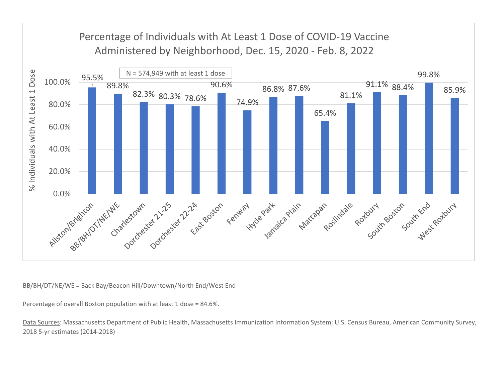

BB/BH/DT/NE/WE <sup>=</sup> Back Bay/Beacon Hill/Downtown/North End/West End

Percentage of overall Boston population with at least 1 dose <sup>=</sup> 84.6%.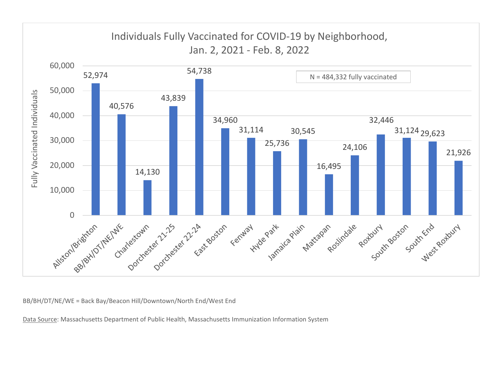

BB/BH/DT/NE/WE <sup>=</sup> Back Bay/Beacon Hill/Downtown/North End/West End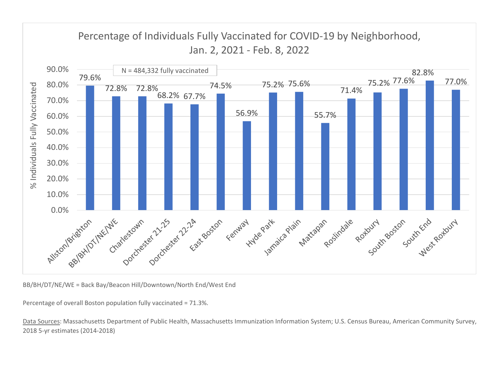

BB/BH/DT/NE/WE <sup>=</sup> Back Bay/Beacon Hill/Downtown/North End/West End

Percentage of overall Boston population fully vaccinated <sup>=</sup> 71.3%.